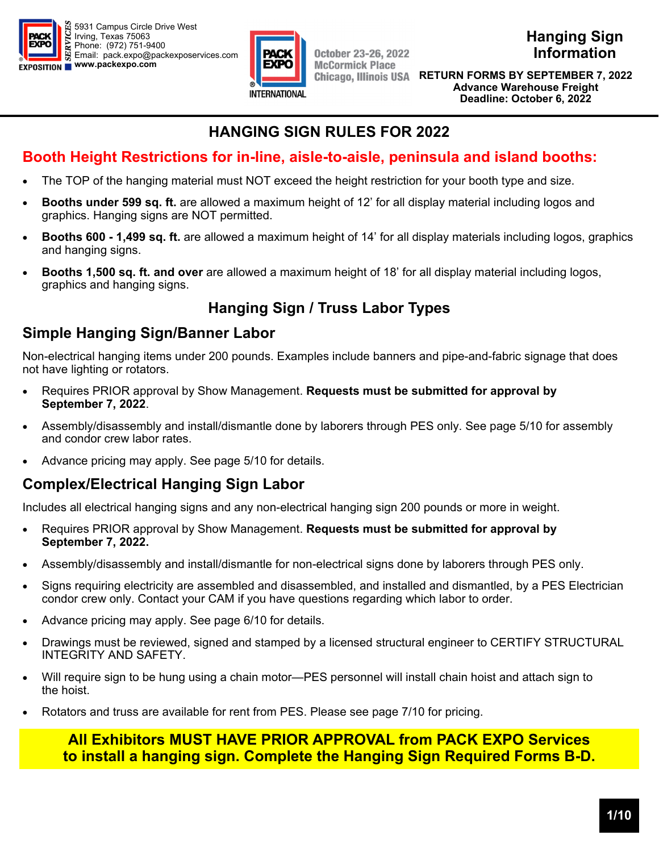



**Hanging Sign Information** 

**Discount Deadline: RETURN FORMS BY SEPTEMBER 7, 2022 September 7, 2022 Advance Warehouse Freight (excludes labor) Deadline: October 6, 2022** 

# **HANGING SIGN RULES FOR 2022**

# **Booth Height Restrictions for in-line, aisle-to-aisle, peninsula and island booths:**

- The TOP of the hanging material must NOT exceed the height restriction for your booth type and size.
- **Booths under 599 sq. ft.** are allowed a maximum height of 12' for all display material including logos and graphics. Hanging signs are NOT permitted.
- **Booths 600 1,499 sq. ft.** are allowed a maximum height of 14' for all display materials including logos, graphics and hanging signs.
- **Booths 1,500 sq. ft. and over** are allowed a maximum height of 18' for all display material including logos, graphics and hanging signs.

# **Hanging Sign / Truss Labor Types**

# **Simple Hanging Sign/Banner Labor**

Non-electrical hanging items under 200 pounds. Examples include banners and pipe-and-fabric signage that does not have lighting or rotators.

- Requires PRIOR approval by Show Management. **Requests must be submitted for approval by September 7, 2022**.
- Assembly/disassembly and install/dismantle done by laborers through PES only. See page 5/10 for assembly and condor crew labor rates.
- Advance pricing may apply. See page 5/10 for details.

# **Complex/Electrical Hanging Sign Labor**

Includes all electrical hanging signs and any non-electrical hanging sign 200 pounds or more in weight.

- Requires PRIOR approval by Show Management. **Requests must be submitted for approval by September 7, 2022.**
- Assembly/disassembly and install/dismantle for non-electrical signs done by laborers through PES only.
- Signs requiring electricity are assembled and disassembled, and installed and dismantled, by a PES Electrician condor crew only. Contact your CAM if you have questions regarding which labor to order.
- Advance pricing may apply. See page 6/10 for details.
- Drawings must be reviewed, signed and stamped by a licensed structural engineer to CERTIFY STRUCTURAL INTEGRITY AND SAFETY.
- Will require sign to be hung using a chain motor—PES personnel will install chain hoist and attach sign to the hoist.
- Rotators and truss are available for rent from PES. Please see page 7/10 for pricing.

# **All Exhibitors MUST HAVE PRIOR APPROVAL from PACK EXPO Services to install a hanging sign. Complete the Hanging Sign Required Forms B-D.**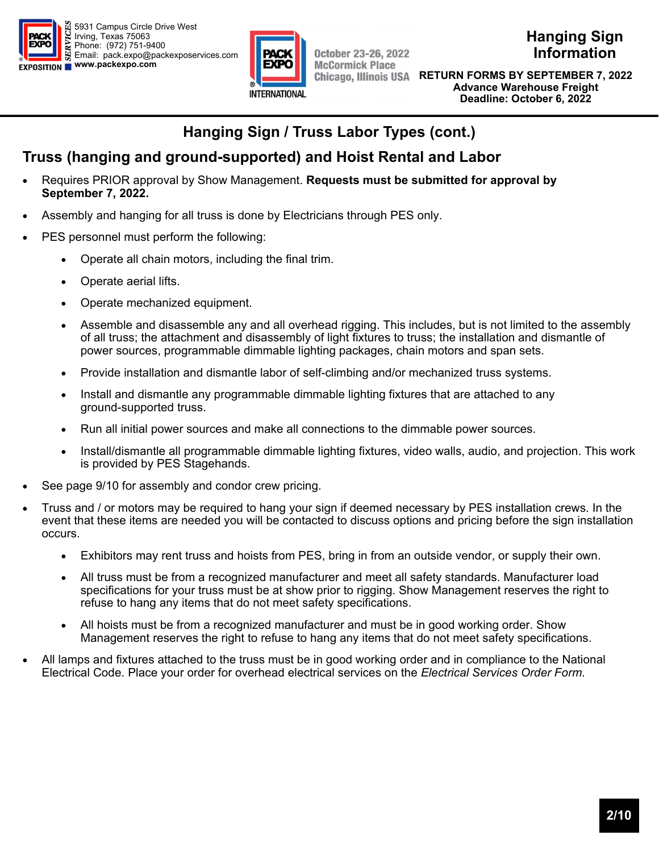



**October 23-26, 2022 McCormick Place** 

**Hanging Sign Information** 

**Discount Deadline: RETURN FORMS BY SEPTEMBER 7, 2022 September 7, 2022 Advance Warehouse Freight (excludes labor) Deadline: October 6, 2022** 

# **Hanging Sign / Truss Labor Types (cont.)**

# **Truss (hanging and ground-supported) and Hoist Rental and Labor**

- Requires PRIOR approval by Show Management. **Requests must be submitted for approval by September 7, 2022.**
- Assembly and hanging for all truss is done by Electricians through PES only.
- PES personnel must perform the following:
	- Operate all chain motors, including the final trim.
	- Operate aerial lifts.
	- Operate mechanized equipment.
	- Assemble and disassemble any and all overhead rigging. This includes, but is not limited to the assembly of all truss; the attachment and disassembly of light fixtures to truss; the installation and dismantle of power sources, programmable dimmable lighting packages, chain motors and span sets.
	- Provide installation and dismantle labor of self-climbing and/or mechanized truss systems.
	- Install and dismantle any programmable dimmable lighting fixtures that are attached to any ground-supported truss.
	- Run all initial power sources and make all connections to the dimmable power sources.
	- Install/dismantle all programmable dimmable lighting fixtures, video walls, audio, and projection. This work is provided by PES Stagehands.
- See page 9/10 for assembly and condor crew pricing.
- Truss and / or motors may be required to hang your sign if deemed necessary by PES installation crews. In the event that these items are needed you will be contacted to discuss options and pricing before the sign installation occurs.
	- Exhibitors may rent truss and hoists from PES, bring in from an outside vendor, or supply their own.
	- All truss must be from a recognized manufacturer and meet all safety standards. Manufacturer load specifications for your truss must be at show prior to rigging. Show Management reserves the right to refuse to hang any items that do not meet safety specifications.
	- All hoists must be from a recognized manufacturer and must be in good working order. Show Management reserves the right to refuse to hang any items that do not meet safety specifications.
- All lamps and fixtures attached to the truss must be in good working order and in compliance to the National Electrical Code. Place your order for overhead electrical services on the *Electrical Services Order Form*.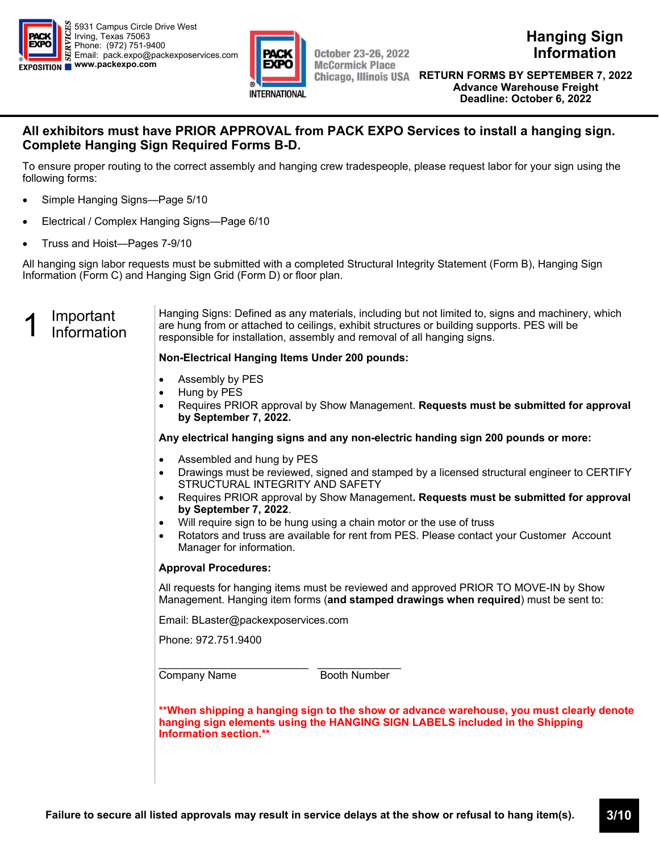



**Discount Deadline: RETURN FORMS BY SEPTEMBER 7, 2022 September 7, 2022 Advance Warehouse Freight (excludes labor) Deadline: October 6, 2022** 

### **All exhibitors must have PRIOR APPROVAL from PACK EXPO Services to install a hanging sign. Complete Hanging Sign Required Forms B-D.**

To ensure proper routing to the correct assembly and hanging crew tradespeople, please request labor for your sign using the following forms:

- Simple Hanging Signs—Page 5/10
- Electrical / Complex Hanging Signs—Page 6/10
- Truss and Hoist—Pages 7-9/10

All hanging sign labor requests must be submitted with a completed Structural Integrity Statement (Form B), Hanging Sign Information (Form C) and Hanging Sign Grid (Form D) or floor plan.

# 1 Important<br>1 Information

Hanging Signs: Defined as any materials, including but not limited to, signs and machinery, which are hung from or attached to ceilings, exhibit structures or building supports. PES will be responsible for installation, assembly and removal of all hanging signs.

#### **Non-Electrical Hanging Items Under 200 pounds:**

- Assembly by PES
- Hung by PES
- Requires PRIOR approval by Show Management. **Requests must be submitted for approval by September 7, 2022.**

**Any electrical hanging signs and any non-electric handing sign 200 pounds or more:** 

- Assembled and hung by PES
- Drawings must be reviewed, signed and stamped by a licensed structural engineer to CERTIFY STRUCTURAL INTEGRITY AND SAFETY
- Requires PRIOR approval by Show Management**. Requests must be submitted for approval by September 7, 2022**.
- Will require sign to be hung using a chain motor or the use of truss
- Rotators and truss are available for rent from PES. Please contact your Customer Account Manager for information.

#### **Approval Procedures:**

All requests for hanging items must be reviewed and approved PRIOR TO MOVE-IN by Show Management. Hanging item forms (**and stamped drawings when required**) must be sent to:

Email: BLaster@packexposervices.com

Phone: 972.751.9400

\_\_\_\_\_\_\_\_\_\_\_\_\_\_\_\_\_\_\_\_\_\_\_\_\_ \_\_\_\_\_\_\_\_\_\_\_\_\_\_ Company Name Booth Number

**\*\*When shipping a hanging sign to the show or advance warehouse, you must clearly denote hanging sign elements using the HANGING SIGN LABELS included in the Shipping Information section.\*\***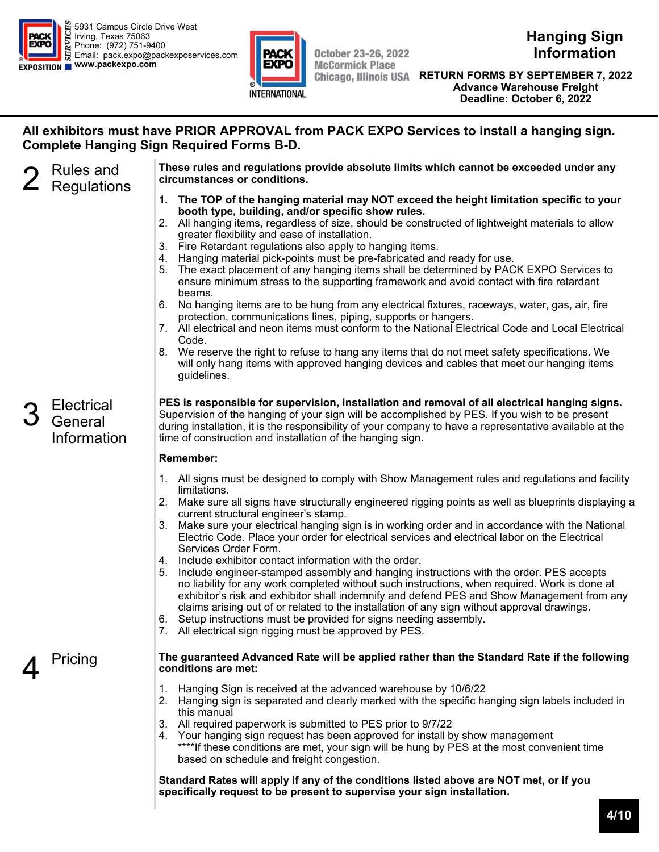



**October 23-26, 2022 McCormick Place** 

**Hanging Sign Information** 

**Discount Deadline: RETURN FORMS BY SEPTEMBER 7, 2022 September 7, 2022 Advance Warehouse Freight (excludes labor) Deadline: October 6, 2022** 

### **All exhibitors must have PRIOR APPROVAL from PACK EXPO Services to install a hanging sign. Complete Hanging Sign Required Forms B-D.**

2 Rules and<br>2 Regulations

**Electrical General** Information **These rules and regulations provide absolute limits which cannot be exceeded under any circumstances or conditions.**

- **1. The TOP of the hanging material may NOT exceed the height limitation specific to your booth type, building, and/or specific show rules.**
- 2. All hanging items, regardless of size, should be constructed of lightweight materials to allow greater flexibility and ease of installation.
- 3. Fire Retardant regulations also apply to hanging items.
- 4. Hanging material pick-points must be pre-fabricated and ready for use.
- 5. The exact placement of any hanging items shall be determined by PACK EXPO Services to ensure minimum stress to the supporting framework and avoid contact with fire retardant beams.
- 6. No hanging items are to be hung from any electrical fixtures, raceways, water, gas, air, fire protection, communications lines, piping, supports or hangers.
- 7. All electrical and neon items must conform to the National Electrical Code and Local Electrical Code.
- 8. We reserve the right to refuse to hang any items that do not meet safety specifications. We will only hang items with approved hanging devices and cables that meet our hanging items guidelines.

**PES is responsible for supervision, installation and removal of all electrical hanging signs.**  Supervision of the hanging of your sign will be accomplished by PES. If you wish to be present during installation, it is the responsibility of your company to have a representative available at the time of construction and installation of the hanging sign.

#### **Remember:**

- 1. All signs must be designed to comply with Show Management rules and regulations and facility limitations.
- 2. Make sure all signs have structurally engineered rigging points as well as blueprints displaying a current structural engineer's stamp.
- 3. Make sure your electrical hanging sign is in working order and in accordance with the National Electric Code. Place your order for electrical services and electrical labor on the Electrical Services Order Form.
- 4. Include exhibitor contact information with the order.
- 5. Include engineer-stamped assembly and hanging instructions with the order. PES accepts no liability for any work completed without such instructions, when required. Work is done at exhibitor's risk and exhibitor shall indemnify and defend PES and Show Management from any claims arising out of or related to the installation of any sign without approval drawings.
- 6. Setup instructions must be provided for signs needing assembly.
- 7. All electrical sign rigging must be approved by PES.

# **Pricing** The guaranteed Advanced Rate will be applied rather than the Standard Rate if the following conditions are met:<br>1. Hanging Sign is received at the advanced warehouse by 10/6/22 **conditions are met:**

- 1. Hanging Sign is received at the advanced warehouse by 10/6/22
- 2. Hanging sign is separated and clearly marked with the specific hanging sign labels included in this manual
- 3. All required paperwork is submitted to PES prior to 9/7/22
- 4. Your hanging sign request has been approved for install by show management \*\*\*\*If these conditions are met, your sign will be hung by PES at the most convenient time based on schedule and freight congestion.

**Standard Rates will apply if any of the conditions listed above are NOT met, or if you specifically request to be present to supervise your sign installation.**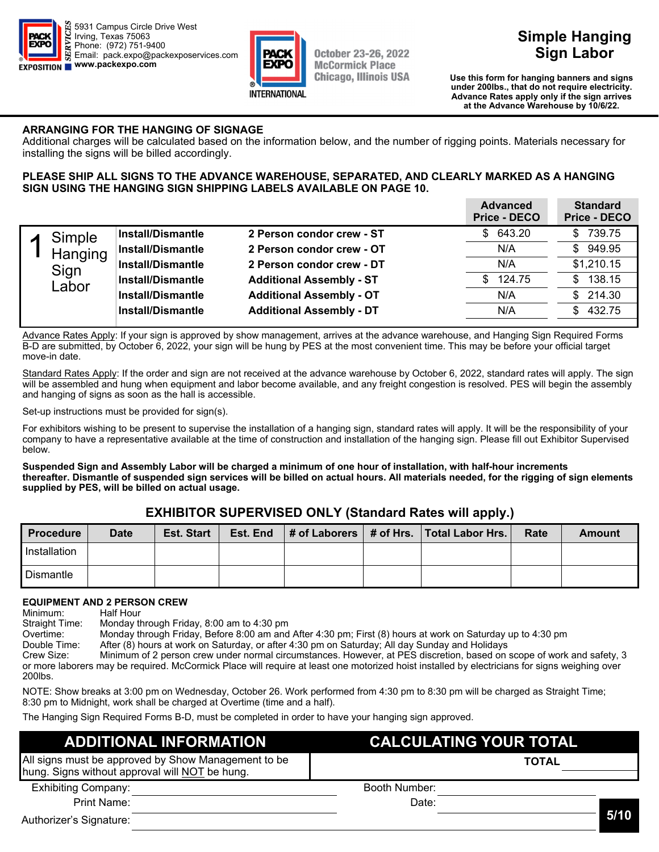



**Simple Hanging Sign Labor** 

**Discount Deadline: Use this form for hanging banners and signs**  under 200lbs., that do not require electricity. **(excludes labor) Advance Rates apply only if the sign arrives at the Advance Warehouse by 10/6/22.** 

#### **ARRANGING FOR THE HANGING OF SIGNAGE**

Additional charges will be calculated based on the information below, and the number of rigging points. Materials necessary for installing the signs will be billed accordingly.

#### **PLEASE SHIP ALL SIGNS TO THE ADVANCE WAREHOUSE, SEPARATED, AND CLEARLY MARKED AS A HANGING SIGN USING THE HANGING SIGN SHIPPING LABELS AVAILABLE ON PAGE 10.**

| <b>Advanced</b><br>Price - DECO | <b>Standard</b><br><b>Price - DECO</b>                                                                                                                                                       |
|---------------------------------|----------------------------------------------------------------------------------------------------------------------------------------------------------------------------------------------|
| \$643.20                        | 739.75<br>SS.                                                                                                                                                                                |
| N/A                             | \$949.95                                                                                                                                                                                     |
| N/A                             | \$1,210.15                                                                                                                                                                                   |
| \$124.75                        | 138.15<br>SS.                                                                                                                                                                                |
| N/A                             | \$214.30                                                                                                                                                                                     |
| N/A                             | \$432.75                                                                                                                                                                                     |
|                                 | 2 Person condor crew - ST<br>2 Person condor crew - OT<br>2 Person condor crew - DT<br><b>Additional Assembly - ST</b><br><b>Additional Assembly - OT</b><br><b>Additional Assembly - DT</b> |

Advance Rates Apply: If your sign is approved by show management, arrives at the advance warehouse, and Hanging Sign Required Forms B-D are submitted, by October 6, 2022, your sign will be hung by PES at the most convenient time. This may be before your official target move-in date.

Standard Rates Apply: If the order and sign are not received at the advance warehouse by October 6, 2022, standard rates will apply. The sign will be assembled and hung when equipment and labor become available, and any freight congestion is resolved. PES will begin the assembly and hanging of signs as soon as the hall is accessible.

Set-up instructions must be provided for sign(s).

For exhibitors wishing to be present to supervise the installation of a hanging sign, standard rates will apply. It will be the responsibility of your company to have a representative available at the time of construction and installation of the hanging sign. Please fill out Exhibitor Supervised below.

#### **Suspended Sign and Assembly Labor will be charged a minimum of one hour of installation, with half-hour increments thereafter. Dismantle of suspended sign services will be billed on actual hours. All materials needed, for the rigging of sign elements supplied by PES, will be billed on actual usage.**

### **EXHIBITOR SUPERVISED ONLY (Standard Rates will apply.)**

| l Procedure      | Date | <b>Est. Start</b> | Est. End |  | $\vert$ # of Laborers $\vert$ # of Hrs. Total Labor Hrs. | Rate | Amount |
|------------------|------|-------------------|----------|--|----------------------------------------------------------|------|--------|
| I Installation   |      |                   |          |  |                                                          |      |        |
| <b>Dismantle</b> |      |                   |          |  |                                                          |      |        |

#### **EQUIPMENT AND 2 PERSON CREW**

Minimum: Half Hour Straight Time: Monday through Friday, 8:00 am to 4:30 pm Overtime: Monday through Friday, Before 8:00 am and After 4:30 pm; First (8) hours at work on Saturday up to 4:30 pm After (8) hours at work on Saturday, or after 4:30 pm on Saturday; All day Sunday and Holidays Crew Size: Minimum of 2 person crew under normal circumstances. However, at PES discretion, based on scope of work and safety, 3 or more laborers may be required. McCormick Place will require at least one motorized hoist installed by electricians for signs weighing over 200lbs.

NOTE: Show breaks at 3:00 pm on Wednesday, October 26. Work performed from 4:30 pm to 8:30 pm will be charged as Straight Time; 8:30 pm to Midnight, work shall be charged at Overtime (time and a half).

The Hanging Sign Required Forms B-D, must be completed in order to have your hanging sign approved.

#### Exhibiting Company: Print Name: Booth Number: Date: **ADDITIONAL INFORMATION CALCULATING YOUR TOTAL**  All signs must be approved by Show Management to be hung. Signs without approval will NOT be hung. **TOTAL**

Authorizer's Signature:

**5/10**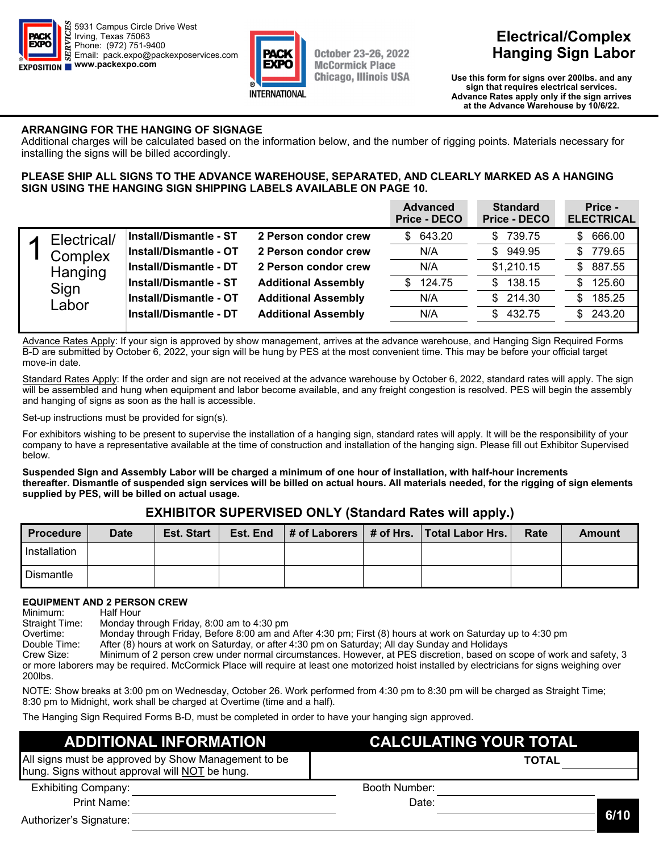



# **Electrical/Complex Hanging Sign Labor**

**Discount Deadline: Use this form for signs over 200lbs. and any Sign that requires electrical services. (excludes labor) Advance Rates apply only if the sign arrives at the Advance Warehouse by 10/6/22.** 

#### **ARRANGING FOR THE HANGING OF SIGNAGE**

Additional charges will be calculated based on the information below, and the number of rigging points. Materials necessary for installing the signs will be billed accordingly.

#### **PLEASE SHIP ALL SIGNS TO THE ADVANCE WAREHOUSE, SEPARATED, AND CLEARLY MARKED AS A HANGING SIGN USING THE HANGING SIGN SHIPPING LABELS AVAILABLE ON PAGE 10.**

|  |             |                               |                            | <b>Advanced</b><br><b>Price - DECO</b> | <b>Standard</b><br><b>Price - DECO</b> | Price -<br><b>ELECTRICAL</b> |
|--|-------------|-------------------------------|----------------------------|----------------------------------------|----------------------------------------|------------------------------|
|  | Electrical/ | <b>Install/Dismantle - ST</b> | 2 Person condor crew       | \$643.20                               | 739.75<br>\$.                          | 666.00<br>S                  |
|  | Complex     | <b>Install/Dismantle - OT</b> | 2 Person condor crew       | N/A                                    | 949.95<br>\$.                          | 779.65<br>S                  |
|  | Hanging     | <b>Install/Dismantle - DT</b> | 2 Person condor crew       | N/A                                    | \$1,210.15                             | 887.55<br>\$.                |
|  | Sign        | <b>Install/Dismantle - ST</b> | <b>Additional Assembly</b> | 124.75<br>\$                           | 138.15<br>\$.                          | 125.60<br>\$                 |
|  | Labor       | <b>Install/Dismantle - OT</b> | <b>Additional Assembly</b> | N/A                                    | 214.30<br>\$.                          | 185.25<br>S                  |
|  |             | <b>Install/Dismantle - DT</b> | <b>Additional Assembly</b> | N/A                                    | 432.75<br>\$.                          | 243.20<br>S.                 |
|  |             |                               |                            |                                        |                                        |                              |

Advance Rates Apply: If your sign is approved by show management, arrives at the advance warehouse, and Hanging Sign Required Forms B-D are submitted by October 6, 2022, your sign will be hung by PES at the most convenient time. This may be before your official target move-in date.

Standard Rates Apply: If the order and sign are not received at the advance warehouse by October 6, 2022, standard rates will apply. The sign will be assembled and hung when equipment and labor become available, and any freight congestion is resolved. PES will begin the assembly and hanging of signs as soon as the hall is accessible.

Set-up instructions must be provided for sign(s).

For exhibitors wishing to be present to supervise the installation of a hanging sign, standard rates will apply. It will be the responsibility of your company to have a representative available at the time of construction and installation of the hanging sign. Please fill out Exhibitor Supervised below.

#### **Suspended Sign and Assembly Labor will be charged a minimum of one hour of installation, with half-hour increments thereafter. Dismantle of suspended sign services will be billed on actual hours. All materials needed, for the rigging of sign elements supplied by PES, will be billed on actual usage.**

### **EXHIBITOR SUPERVISED ONLY (Standard Rates will apply.)**

| <b>Procedure</b> | <b>Date</b> | <b>Est. Start</b> | Est. End |  | $\vert$ # of Laborers $\vert$ # of Hrs. $\vert$ Total Labor Hrs. $\vert$ | Rate | Amount |
|------------------|-------------|-------------------|----------|--|--------------------------------------------------------------------------|------|--------|
| Installation     |             |                   |          |  |                                                                          |      |        |
| Dismantle        |             |                   |          |  |                                                                          |      |        |

#### **EQUIPMENT AND 2 PERSON CREW**

Minimum: Half Hour Straight Time: Monday through Friday, 8:00 am to 4:30 pm Overtime: Monday through Friday, Before 8:00 am and After 4:30 pm; First (8) hours at work on Saturday up to 4:30 pm After (8) hours at work on Saturday, or after 4:30 pm on Saturday; All day Sunday and Holidays Crew Size: Minimum of 2 person crew under normal circumstances. However, at PES discretion, based on scope of work and safety, 3 or more laborers may be required. McCormick Place will require at least one motorized hoist installed by electricians for signs weighing over 200lbs. NOTE: Show breaks at 3:00 pm on Wednesday, October 26. Work performed from 4:30 pm to 8:30 pm will be charged as Straight Time;

8:30 pm to Midnight, work shall be charged at Overtime (time and a half).

The Hanging Sign Required Forms B-D, must be completed in order to have your hanging sign approved.

| <b>ADDITIONAL INFORMATION</b>                                                                         | <b>CALCULATING YOUR TOTAL</b> |              |  |  |
|-------------------------------------------------------------------------------------------------------|-------------------------------|--------------|--|--|
| All signs must be approved by Show Management to be<br>hung. Signs without approval will NOT be hung. |                               | <b>TOTAL</b> |  |  |
| <b>Exhibiting Company:</b>                                                                            | Booth Number:                 |              |  |  |
| Print Name:                                                                                           | Date:                         |              |  |  |
| Authorizer's Signature:                                                                               |                               | 6/10         |  |  |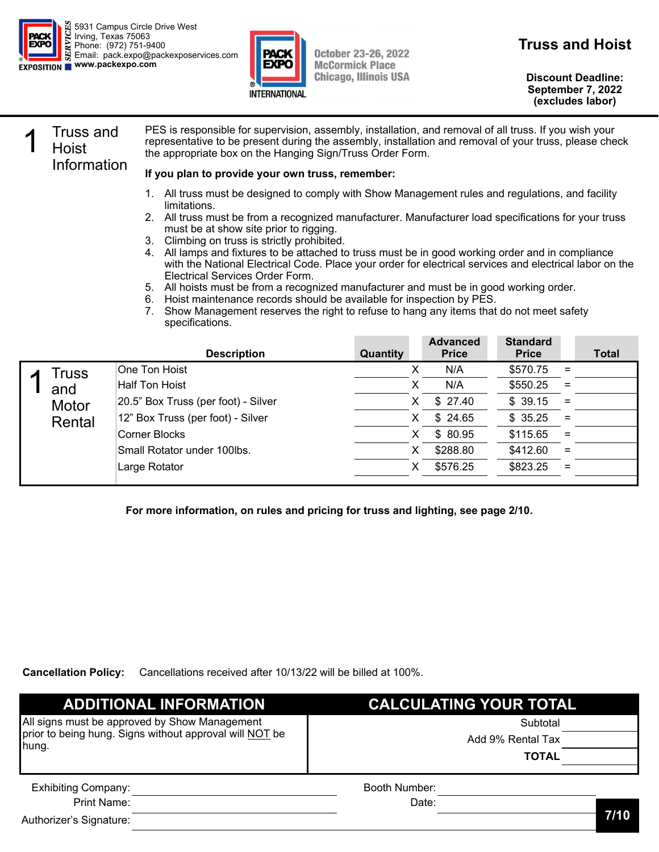



**Truss and Hoist** 

**Discount Deadline: September 7, 2022 (excludes labor)** 

### **Truss and Hoist** Information

PES is responsible for supervision, assembly, installation, and removal of all truss. If you wish your representative to be present during the assembly, installation and removal of your truss, please check the appropriate box on the Hanging Sign/Truss Order Form.

#### **If you plan to provide your own truss, remember:**

- 1. All truss must be designed to comply with Show Management rules and regulations, and facility limitations.
- 2. All truss must be from a recognized manufacturer. Manufacturer load specifications for your truss must be at show site prior to rigging.
- 3. Climbing on truss is strictly prohibited.
- 4. All lamps and fixtures to be attached to truss must be in good working order and in compliance with the National Electrical Code. Place your order for electrical services and electrical labor on the Electrical Services Order Form.
- 5. All hoists must be from a recognized manufacturer and must be in good working order.
- 6. Hoist maintenance records should be available for inspection by PES.
- Show Management reserves the right to refuse to hang any items that do not meet safety specifications.

|        | <b>Description</b>                  | Quantity | <b>Advanced</b><br><b>Price</b> | <b>Standard</b><br><b>Price</b> |          | <b>Total</b> |
|--------|-------------------------------------|----------|---------------------------------|---------------------------------|----------|--------------|
| Truss  | One Ton Hoist                       | х        | N/A                             | \$570.75                        | $=$      |              |
| and    | Half Ton Hoist                      |          | N/A                             | \$550.25                        | $=$      |              |
| Motor  | 20.5" Box Truss (per foot) - Silver | х        | \$27.40                         | \$39.15                         | $=$      |              |
| Rental | 12" Box Truss (per foot) - Silver   | X        | \$24.65                         | \$35.25                         | $=$      |              |
|        | Corner Blocks                       | X        | \$80.95                         | \$115.65                        | $\equiv$ |              |
|        | Small Rotator under 100lbs.         | х        | \$288.80                        | \$412.60                        | $\equiv$ |              |
|        | Large Rotator                       | х        | \$576.25                        | \$823.25                        | $\equiv$ |              |
|        |                                     |          |                                 |                                 |          |              |

**For more information, on rules and pricing for truss and lighting, see page 2/10.** 

**Cancellation Policy:** Cancellations received after 10/13/22 will be billed at 100%.

| <b>ADDITIONAL INFORMATION</b>                                    | <b>CALCULATING YOUR TOTAL</b> |      |  |
|------------------------------------------------------------------|-------------------------------|------|--|
| All signs must be approved by Show Management                    | Subtotal                      |      |  |
| prior to being hung. Signs without approval will NOT be<br>hung. | Add 9% Rental Tax             |      |  |
|                                                                  | <b>TOTAL</b>                  |      |  |
| <b>Exhibiting Company:</b>                                       | Booth Number:                 |      |  |
| Print Name:                                                      | Date:                         |      |  |
| Authorizer's Signature:                                          |                               | 7/10 |  |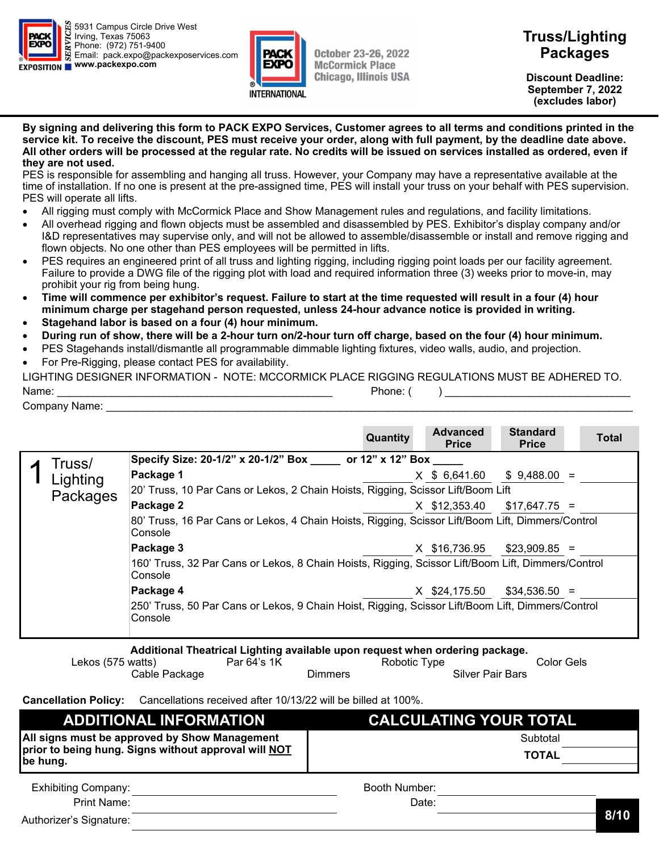



**Discount Deadline: September 7, 2022 (excludes labor)** 

#### **By signing and delivering this form to PACK EXPO Services, Customer agrees to all terms and conditions printed in the service kit. To receive the discount, PES must receive your order, along with full payment, by the deadline date above. All other orders will be processed at the regular rate. No credits will be issued on services installed as ordered, even if they are not used.**

PES is responsible for assembling and hanging all truss. However, your Company may have a representative available at the time of installation. If no one is present at the pre-assigned time, PES will install your truss on your behalf with PES supervision. PES will operate all lifts.

- All rigging must comply with McCormick Place and Show Management rules and regulations, and facility limitations.
- All overhead rigging and flown objects must be assembled and disassembled by PES. Exhibitor's display company and/or I&D representatives may supervise only, and will not be allowed to assemble/disassemble or install and remove rigging and flown objects. No one other than PES employees will be permitted in lifts.
- PES requires an engineered print of all truss and lighting rigging, including rigging point loads per our facility agreement. Failure to provide a DWG file of the rigging plot with load and required information three (3) weeks prior to move-in, may prohibit your rig from being hung.
- **Time will commence per exhibitor's request. Failure to start at the time requested will result in a four (4) hour minimum charge per stagehand person requested, unless 24-hour advance notice is provided in writing.**
- **Stagehand labor is based on a four (4) hour minimum.**
- **During run of show, there will be a 2-hour turn on/2-hour turn off charge, based on the four (4) hour minimum.**
- PES Stagehands install/dismantle all programmable dimmable lighting fixtures, video walls, audio, and projection.
- For Pre-Rigging, please contact PES for availability.

| LIGHTING DESIGNER INFORMATION - NOTE: MCCORMICK PLACE RIGGING REGULATIONS MUST BE ADHERED TO. |          |  |  |  |  |  |
|-----------------------------------------------------------------------------------------------|----------|--|--|--|--|--|
| Name:                                                                                         | Phone: ( |  |  |  |  |  |
| Company Name:                                                                                 |          |  |  |  |  |  |

|                                                                                                              |          |                                                                                                               | Quantity | <b>Advanced</b><br><b>Price</b> | <b>Standard</b><br><b>Price</b> |  | Total |
|--------------------------------------------------------------------------------------------------------------|----------|---------------------------------------------------------------------------------------------------------------|----------|---------------------------------|---------------------------------|--|-------|
|                                                                                                              | Truss/   | Specify Size: 20-1/2" x 20-1/2" Box _____ or 12" x 12" Box ____                                               |          |                                 |                                 |  |       |
|                                                                                                              | Lighting | Package 1                                                                                                     |          | $X$ \$ 6,641.60                 | $$9,488.00 =$                   |  |       |
|                                                                                                              | Packages | 20' Truss, 10 Par Cans or Lekos, 2 Chain Hoists, Rigging, Scissor Lift/Boom Lift                              |          |                                 |                                 |  |       |
|                                                                                                              |          | Package 2                                                                                                     |          | $X$ \$12,353.40 \$17,647.75 =   |                                 |  |       |
|                                                                                                              |          | 80' Truss, 16 Par Cans or Lekos, 4 Chain Hoists, Rigging, Scissor Lift/Boom Lift, Dimmers/Control<br>Console  |          |                                 |                                 |  |       |
|                                                                                                              |          | Package 3                                                                                                     |          | X \$16,736.95                   | $$23,909.85 =$                  |  |       |
|                                                                                                              |          | 160' Truss, 32 Par Cans or Lekos, 8 Chain Hoists, Rigging, Scissor Lift/Boom Lift, Dimmers/Control<br>Console |          |                                 |                                 |  |       |
|                                                                                                              |          | Package 4                                                                                                     |          | X \$24,175.50                   | $$34,536.50 =$                  |  |       |
| 250' Truss, 50 Par Cans or Lekos, 9 Chain Hoist, Rigging, Scissor Lift/Boom Lift, Dimmers/Control<br>Console |          |                                                                                                               |          |                                 |                                 |  |       |
|                                                                                                              |          | Additional Theatrical Lighting available upon request when ordering package.                                  |          |                                 |                                 |  |       |

| <b>Additional Historical Eighting available apoll request milen ordering package.</b> |             |         |              |                         |            |  |
|---------------------------------------------------------------------------------------|-------------|---------|--------------|-------------------------|------------|--|
| Lekos (575 watts)                                                                     | Par 64's 1K |         | Robotic Type |                         | Color Gels |  |
| Cable Package                                                                         |             | Dimmers |              | <b>Silver Pair Bars</b> |            |  |

**Cancellation Policy:** Cancellations received after 10/13/22 will be billed at 100%.

| <b>ADDITIONAL INFORMATION</b>                                    | <b>CALCULATING YOUR TOTAL</b> |  |  |  |
|------------------------------------------------------------------|-------------------------------|--|--|--|
| All signs must be approved by Show Management                    | Subtotal                      |  |  |  |
| prior to being hung. Signs without approval will NOT<br>be hung. | <b>TOTAL</b>                  |  |  |  |
| <b>Exhibiting Company:</b>                                       | Booth Number:                 |  |  |  |
| Print Name:                                                      | Date:<br>014 A                |  |  |  |

Authorizer's Signature: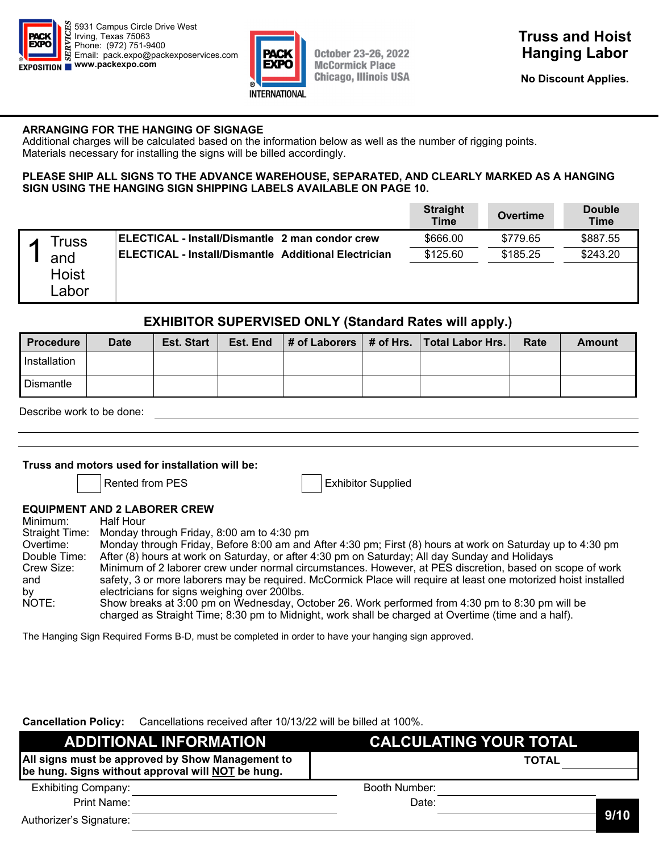



**No Discount Applies. September 7, 2022** 

#### **ARRANGING FOR THE HANGING OF SIGNAGE**

Additional charges will be calculated based on the information below as well as the number of rigging points. Materials necessary for installing the signs will be billed accordingly.

#### **PLEASE SHIP ALL SIGNS TO THE ADVANCE WAREHOUSE, SEPARATED, AND CLEARLY MARKED AS A HANGING SIGN USING THE HANGING SIGN SHIPPING LABELS AVAILABLE ON PAGE 10.**

|                              |                                                             | <b>Straight</b><br><b>Time</b> | Overtime | <b>Double</b><br><b>Time</b> |
|------------------------------|-------------------------------------------------------------|--------------------------------|----------|------------------------------|
| Truss                        | ELECTICAL - Install/Dismantle 2 man condor crew             | \$666.00                       | \$779.65 | \$887.55                     |
| and<br><b>Hoist</b><br>Labor | <b>ELECTICAL - Install/Dismantle Additional Electrician</b> | \$125.60                       | \$185.25 | \$243.20                     |

#### **EXHIBITOR SUPERVISED ONLY (Standard Rates will apply.)**

| <b>Procedure</b> | <b>Date</b> | <b>Est. Start</b> | Est. End |  | $\vert$ # of Laborers $\vert$ # of Hrs. Total Labor Hrs. | Rate | Amount |
|------------------|-------------|-------------------|----------|--|----------------------------------------------------------|------|--------|
| I Installation   |             |                   |          |  |                                                          |      |        |
| <b>Dismantle</b> |             |                   |          |  |                                                          |      |        |

Describe work to be done:

#### **Truss and motors used for installation will be:**

Rented from PES **Exhibitor** Supplied

#### **EQUIPMENT AND 2 LABORER CREW**

| Minimum:     | Half Hour                                                                                                                                                                                              |
|--------------|--------------------------------------------------------------------------------------------------------------------------------------------------------------------------------------------------------|
|              | Straight Time: Monday through Friday, 8:00 am to 4:30 pm                                                                                                                                               |
| Overtime:    | Monday through Friday, Before 8:00 am and After 4:30 pm; First (8) hours at work on Saturday up to 4:30 pm                                                                                             |
| Double Time: | After (8) hours at work on Saturday, or after 4:30 pm on Saturday; All day Sunday and Holidays                                                                                                         |
| Crew Size:   | Minimum of 2 laborer crew under normal circumstances. However, at PES discretion, based on scope of work                                                                                               |
| and          | safety, 3 or more laborers may be required. McCormick Place will require at least one motorized hoist installed                                                                                        |
| by           | electricians for signs weighing over 200lbs.                                                                                                                                                           |
| NOTE:        | Show breaks at 3:00 pm on Wednesday, October 26. Work performed from 4:30 pm to 8:30 pm will be<br>charged as Straight Time; 8:30 pm to Midnight, work shall be charged at Overtime (time and a half). |

The Hanging Sign Required Forms B-D, must be completed in order to have your hanging sign approved.

**Cancellation Policy:** Cancellations received after 10/13/22 will be billed at 100%.

| <b>ADDITIONAL INFORMATION</b>                                                                         | <b>CALCULATING YOUR TOTAL</b> |      |
|-------------------------------------------------------------------------------------------------------|-------------------------------|------|
| All signs must be approved by Show Management to<br>be hung. Signs without approval will NOT be hung. | <b>TOTAL</b>                  |      |
| <b>Exhibiting Company:</b>                                                                            | Booth Number:                 |      |
| Print Name:                                                                                           | Date:                         |      |
| Authorizer's Signature:                                                                               |                               | 9/10 |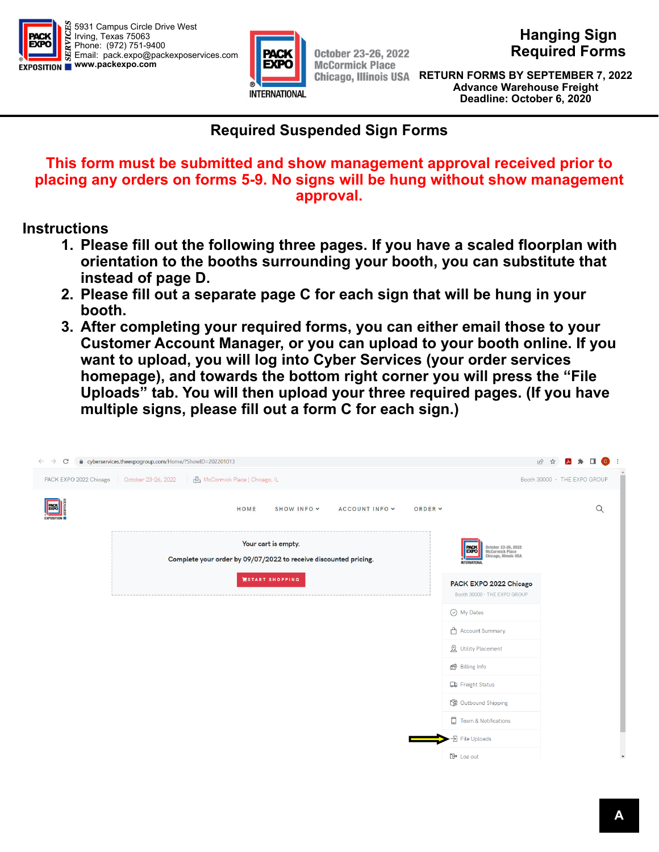



**October 23-26, 2022 McCormick Place** 

**Hanging Sign Required Forms** 

**Discount Deadline: RETURN FORMS BY SEPTEMBER 7, 2022 September 7, 2022 Advance Warehouse Freight (excludes labor) Deadline: October 6, 2020** 

# **Required Suspended Sign Forms**

### **This form must be submitted and show management approval received prior to placing any orders on forms 5-9. No signs will be hung without show management approval.**

# **Instructions**

- **1. Please fill out the following three pages. If you have a scaled floorplan with orientation to the booths surrounding your booth, you can substitute that instead of page D.**
- **2. Please fill out a separate page C for each sign that will be hung in your booth.**
- **3. After completing your required forms, you can either email those to your Customer Account Manager, or you can upload to your booth online. If you want to upload, you will log into Cyber Services (your order services homepage), and towards the bottom right corner you will press the "File Uploads" tab. You will then upload your three required pages. (If you have multiple signs, please fill out a form C for each sign.)**

| C<br>$\leftarrow$<br>$\rightarrow$ | A cyberservices.theexpogroup.com/Home/?ShowID=202201013                                 |         |                                                                                                         | $\mathbf{A}$ $\mathbf{A}$ $\mathbf{B}$ $\mathbf{C}$<br>日 ☆<br>$\cdot$ : |
|------------------------------------|-----------------------------------------------------------------------------------------|---------|---------------------------------------------------------------------------------------------------------|-------------------------------------------------------------------------|
| PACK EXPO 2022 Chicago             | McCormick Place   Chicago, IL<br>October 23-26, 2022                                    |         |                                                                                                         | Booth 30000 - THE EXPO GROUP                                            |
| <b>PACK</b><br>EXPO                | SHOW INFO Y<br>ACCOUNT INFO Y<br>HOME                                                   | ORDER Y |                                                                                                         | $\alpha$                                                                |
|                                    | Your cart is empty.<br>Complete your order by 09/07/2022 to receive discounted pricing. |         | October 23-26, 2022<br>McCormick Place<br>Chicago, Illinois USA<br>PACK<br>EXPO<br><b>INTERNATIONAL</b> |                                                                         |
|                                    | <b>WSTART SHOPPING</b>                                                                  |         | PACK EXPO 2022 Chicago<br>Booth 30000 - THE EXPO GROUP                                                  |                                                                         |
|                                    |                                                                                         |         | ⊙ My Dates                                                                                              |                                                                         |
|                                    |                                                                                         |         | Account Summary                                                                                         |                                                                         |
|                                    |                                                                                         |         | <b>&amp;</b> Utility Placement                                                                          |                                                                         |
|                                    |                                                                                         |         | Billing Info                                                                                            |                                                                         |
|                                    |                                                                                         |         | <b>D</b> Freight Status                                                                                 |                                                                         |
|                                    |                                                                                         |         | <b>C</b> Outbound Shipping                                                                              |                                                                         |
|                                    |                                                                                         |         | Team & Notifications                                                                                    |                                                                         |
|                                    |                                                                                         |         | -<br>- File Uploads                                                                                     |                                                                         |
|                                    |                                                                                         |         | $\mathbb{D}$ Log out                                                                                    | $\boldsymbol{\mathrm{v}}$                                               |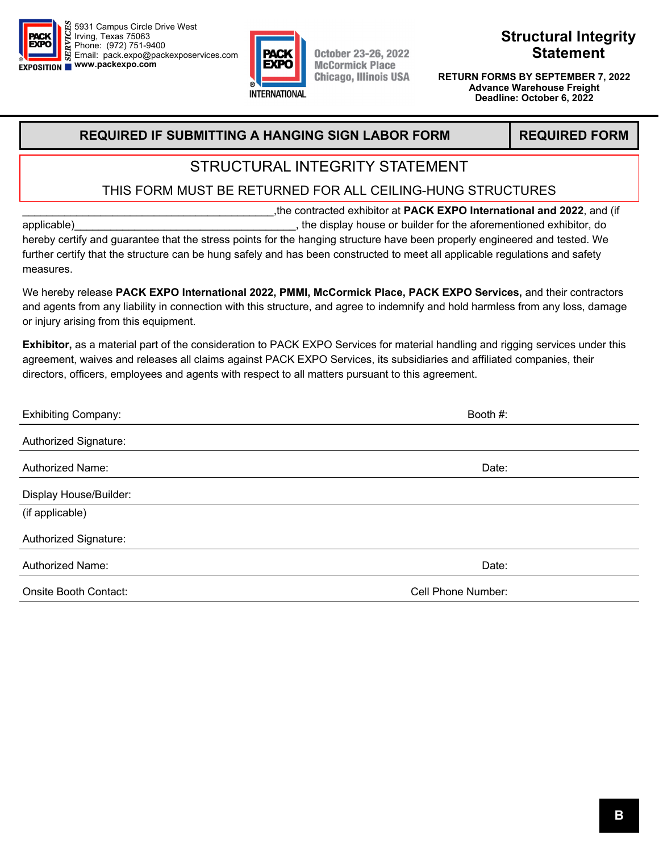



# **Structural Integrity Statement**

**Discount Deadline: RETURN FORMS BY SEPTEMBER 7, 2022 September 7, 2022 Advance Warehouse Freight (excludes labor) Deadline: October 6, 2022** 

### **REQUIRED IF SUBMITTING A HANGING SIGN LABOR FORM REQUIRED FORM**

# STRUCTURAL INTEGRITY STATEMENT

### THIS FORM MUST BE RETURNED FOR ALL CEILING-HUNG STRUCTURES

\_\_\_\_\_\_\_\_\_\_\_\_\_\_\_\_\_\_\_\_\_\_\_\_\_\_\_\_\_\_\_\_\_\_\_\_\_\_\_\_\_\_,the contracted exhibitor at **PACK EXPO International and 2022**, and (if applicable)\_\_\_\_\_\_\_\_\_\_\_\_\_\_\_\_\_\_\_\_\_\_\_\_\_\_\_\_\_\_\_\_\_\_\_\_\_, the display house or builder for the aforementioned exhibitor, do hereby certify and guarantee that the stress points for the hanging structure have been properly engineered and tested. We

further certify that the structure can be hung safely and has been constructed to meet all applicable regulations and safety measures.

We hereby release **PACK EXPO International 2022, PMMI, McCormick Place, PACK EXPO Services,** and their contractors and agents from any liability in connection with this structure, and agree to indemnify and hold harmless from any loss, damage or injury arising from this equipment.

**Exhibitor,** as a material part of the consideration to PACK EXPO Services for material handling and rigging services under this agreement, waives and releases all claims against PACK EXPO Services, its subsidiaries and affiliated companies, their directors, officers, employees and agents with respect to all matters pursuant to this agreement.

| <b>Exhibiting Company:</b> | Booth #:           |  |  |
|----------------------------|--------------------|--|--|
| Authorized Signature:      |                    |  |  |
| Authorized Name:           | Date:              |  |  |
| Display House/Builder:     |                    |  |  |
| (if applicable)            |                    |  |  |
| Authorized Signature:      |                    |  |  |
| <b>Authorized Name:</b>    | Date:              |  |  |
| Onsite Booth Contact:      | Cell Phone Number: |  |  |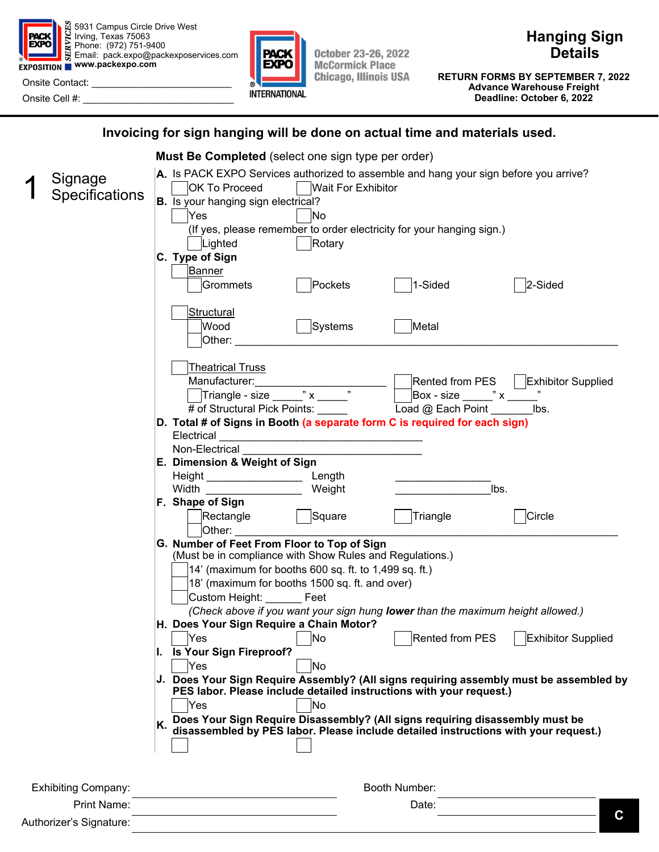

5931 Campus Circle Drive West Irving, Texas 75063 Phone: (972) 751-9400 Email: pack.expo@packexposervices.com **EXPOSITION WWW.packexpo.com** 

Onsite Contact: Onsite Cell #:



**October 23-26, 2022 McCormick Place Chicago, Illinois USA**  **Hanging Sign Details** 

**Discount Deadline: RETURN FORMS BY SEPTEMBER 7, 2022 September 7, 2022 Advance Warehouse Freight (excludes labor) Deadline: October 6, 2022** 

### **Invoicing for sign hanging will be done on actual time and materials used.**

|  |                                        | Must Be Completed (select one sign type per order)                                                                                                                                                                                                                                                                                                                                           |
|--|----------------------------------------|----------------------------------------------------------------------------------------------------------------------------------------------------------------------------------------------------------------------------------------------------------------------------------------------------------------------------------------------------------------------------------------------|
|  | Signage<br><b>Specifications</b>       | A. Is PACK EXPO Services authorized to assemble and hang your sign before you arrive?<br>  Wait For Exhibitor<br><b>OK To Proceed</b><br><b>B.</b> Is your hanging sign electrical?<br>Yes<br><b>No</b><br>(If yes, please remember to order electricity for your hanging sign.)<br>Rotary<br>Lighted<br>C. Type of Sign<br><b>Banner</b><br>1-Sided<br>2-Sided<br>Pockets<br>Grommets       |
|  |                                        | <b>Structural</b><br>Wood<br>Systems<br>Metal<br>Other:                                                                                                                                                                                                                                                                                                                                      |
|  |                                        | <b>Theatrical Truss</b><br>Rented from PES   Exhibitor Supplied<br># of Structural Pick Points: _____<br>Load @ Each Point<br>lbs.                                                                                                                                                                                                                                                           |
|  |                                        | D. Total # of Signs in Booth (a separate form C is required for each sign)<br>Electrical<br>Non-Electrical                                                                                                                                                                                                                                                                                   |
|  |                                        | E. Dimension & Weight of Sign<br>Height __________________________ Length<br>Width $\frac{1}{2}$ width $\frac{1}{2}$ and $\frac{1}{2}$ and $\frac{1}{2}$ and $\frac{1}{2}$ and $\frac{1}{2}$ and $\frac{1}{2}$ and $\frac{1}{2}$ and $\frac{1}{2}$ and $\frac{1}{2}$ and $\frac{1}{2}$ and $\frac{1}{2}$ and $\frac{1}{2}$ and $\frac{1}{2}$ and $\frac{1}{2}$ and $\frac$<br>Weight<br>lbs. |
|  |                                        | F. Shape of Sign<br>Rectangle  Square<br>Triangle<br>Circle<br>Other:                                                                                                                                                                                                                                                                                                                        |
|  |                                        | G. Number of Feet From Floor to Top of Sign<br>(Must be in compliance with Show Rules and Regulations.)<br>$14'$ (maximum for booths 600 sq. ft. to 1,499 sq. ft.)<br>18' (maximum for booths 1500 sq. ft. and over)<br>Custom Height: Feet<br>(Check above if you want your sign hung lower than the maximum height allowed.)                                                               |
|  |                                        | H. Does Your Sign Require a Chain Motor?<br>Rented from PES<br><b>Exhibitor Supplied</b><br>Yes<br> No<br>I. Is Your Sign Fireproof?<br>Yes<br>No                                                                                                                                                                                                                                            |
|  |                                        | J. Does Your Sign Require Assembly? (All signs requiring assembly must be assembled by<br>PES labor. Please include detailed instructions with your request.)<br>No<br>Yes                                                                                                                                                                                                                   |
|  |                                        | Does Your Sign Require Disassembly? (All signs requiring disassembly must be<br>disassembled by PES labor. Please include detailed instructions with your request.)                                                                                                                                                                                                                          |
|  | <b>Exhibiting Company:</b>             | Booth Number:                                                                                                                                                                                                                                                                                                                                                                                |
|  | Print Name:<br>Authorizer's Signature: | Date:<br>С                                                                                                                                                                                                                                                                                                                                                                                   |